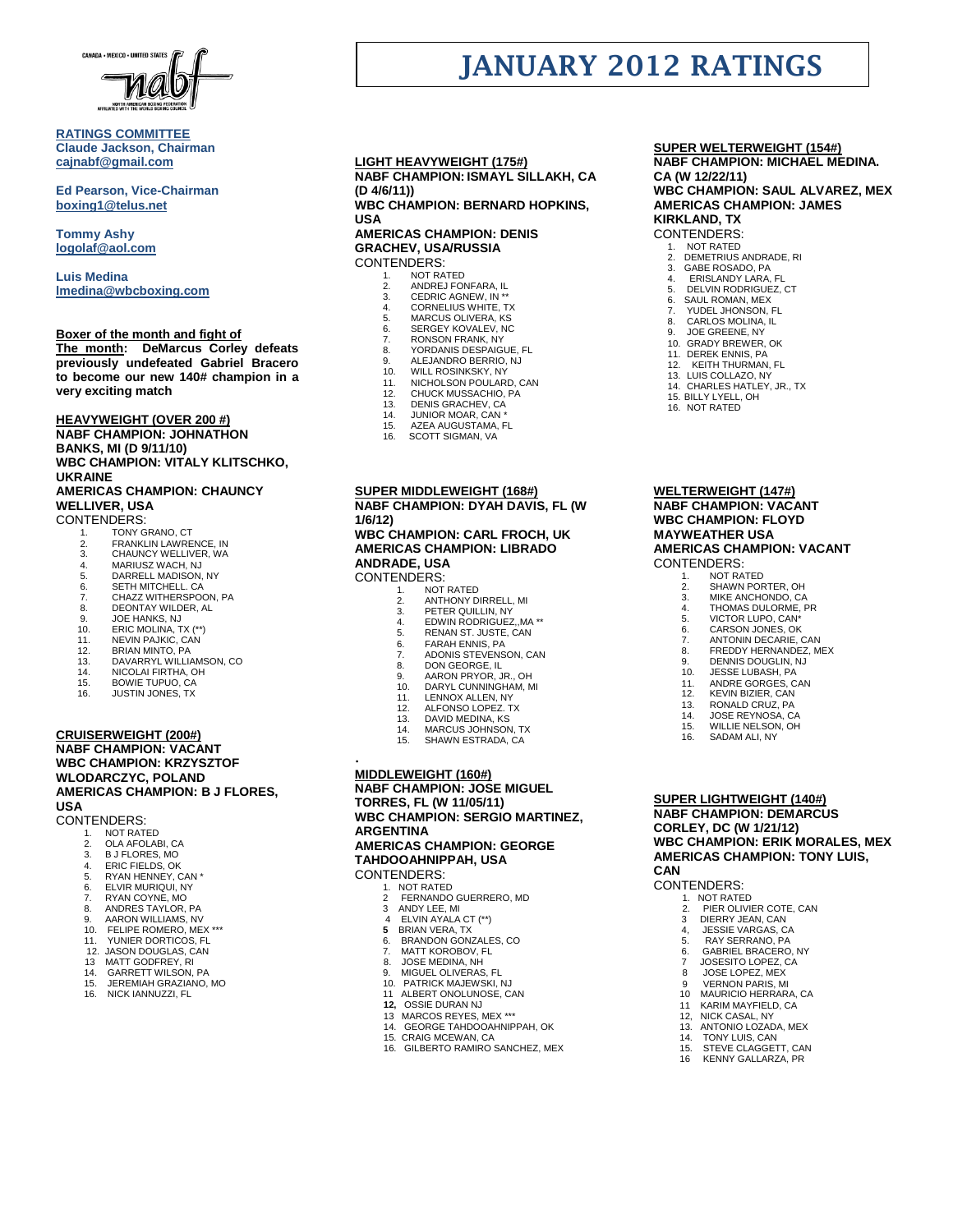

### **RATINGS COMMITTEE Claude Jackson, Chairman [cajnabf@gmail.com](mailto:cajnabf@gmail.com)**

**Ed Pearson, Vice-Chairman boxing1@telus.net**

**Tommy Ashy [logolaf@aol.com](mailto:logolaf@aol.com)**

**Luis Medina [lmedina@wbcboxing.com](mailto:lmedina@wbcboxing.com)**

# **Boxer of the month and fight of**

**The month: DeMarcus Corley defeats previously undefeated Gabriel Bracero to become our new 140# champion in a very exciting match**

**HEAVYWEIGHT (OVER 200 #) NABF CHAMPION: JOHNATHON BANKS, MI (D 9/11/10) WBC CHAMPION: VITALY KLITSCHKO,** 

#### **UKRAINE AMERICAS CHAMPION: CHAUNCY WELLIVER, USA**

CONTENDERS:

- 
- 1. TONY GRANO, CT 2. FRANKLIN LAWRENCE, IN
- 3. CHAUNCY WELLIVER, WA 4. MARIUSZ WACH, NJ
- 
- 5. DARRELL MADISON, NY<br>6. SETH MITCHELL. CA
- 6. SETH MITCHELL. CA<br>7 CHAZZ WITHERSPO
- 7. CHAZZ WITHERSPOON, PA<br>8. DEONTAY WILDER. AL 8. DEONTAY WILDER, AL
- 
- 9. JOE HANKS, NJ<br>10. ERIC MOLINA, T. 10. ERIC MOLINA, TX (\*\*)<br>11. NEVIN PAJKIC, CAN
- 11. NEVIN PAJKIC, CAN<br>12 BRIAN MINTO PA
- 12. BRIAN MINTO, PA<br>13. DAVARRYL WILLIA
- 13. DAVARRYL WILLIAMSON, CO.<br>14 NICOLALEIRTHA OH
- 14. NICOLAI FIRTHA, OH<br>15. BOWIE TUPUO. CA
- BOWIE TUPUO, CA
- 16. JUSTIN JONES, TX

#### **CRUISERWEIGHT (200#) NABF CHAMPION: VACANT WBC CHAMPION: KRZYSZTOF WLODARCZYC, POLAND AMERICAS CHAMPION: B J FLORES, USA**

- CONTENDERS:<br>1. NOT RAT
	- NOT RATED
	- 2. OLA AFOLABI, CA<br>3. B J FLORES, MO
	- 3. B J FLORES, MO<br>4 ERIC FIFLOS OK
	- 4. ERIC FIELDS, OK 5. RYAN HENNEY, CAN \*
	- 6. ELVIR MURIQUI, NY
	- RYAN COYNE, MO
	- 8. ANDRES TAYLOR, PA
	- 9. AARON WILLIAMS, NV 10. FELIPE ROMERO, MEX \*\*\*
	- 11. YUNIER DORTICOS, FL
	- 12. JASON DOUGLAS, CAN
	- 13 MATT GODFREY, RI
	- 14. GARRETT WILSON, PA
	- 15. JEREMIAH GRAZIANO, MO<br>16. NICK IANNUZZI. FL
	- NICK IANNUZZI, FL

## **LIGHT HEAVYWEIGHT (175#) NABF CHAMPION: ISMAYL SILLAKH, CA (D 4/6/11))**

**WBC CHAMPION: BERNARD HOPKINS, USA AMERICAS CHAMPION: DENIS** 

## **GRACHEV, USA/RUSSIA** CONTENDERS:

- 1. NOT RATED<br>2 ANDRE LEOL
- 2. ANDREJ FONFARA, IL 3. CEDRIC AGNEW, IN \*\*
- 4. CORNELIUS WHITE, TX
- 5. MARCUS OLIVERA, KS<br>6. SERGEY KOVALEV, NC
- 6. SERGEY KOVALEV, NC<br>7 RONSON FRANK NY
- 7. RONSON FRANK, NY 8. YORDANIS DESPAIGUE, FL
- 
- 9. ALEJANDRO BERRIO, NJ<br>10. WILL ROSINKSKY, NY
- 10. WILL ROSINKSKY, NY 11. NICHOLSON POULARD, CAN
- 
- 12. CHUCK MUSSACHIO, PA 13. DENIS GRACHEV, CA 14. JUNIOR MOAR, CAN \*
- 
- 
- 15. AZEA AUGUSTAMA, FL 16. SCOTT SIGMAN, VA

#### **SUPER MIDDLEWEIGHT (168#) NABF CHAMPION: DYAH DAVIS, FL (W 1/6/12)**

**WBC CHAMPION: CARL FROCH, UK AMERICAS CHAMPION: LIBRADO ANDRADE, USA** CONTENDERS:

- 1. NOT RATED 2. ANTHONY DIRRELL, MI
- 
- 3. PETER QUILLIN, NY 4. EDWIN RODRIGUEZ,,MA \*\*
- 
- 5. RENAN ST. JUSTE, CAN<br>6. FARAH ENNIS, PA
- 6. FARAH ENNIS, PA<br>7. ADONIS STEVENS
- 5. ADONIS STEVENSON, CAN<br>7. ADONIS STEVENSON, CAN
- 8. DON GEORGE, IL 9. AARON PRYOR, JR., OH
- 10. DARYL CUNNINGHAM, MI<br>11. LENNOX ALLEN, NY
- 
- 11. LENNOX ALLEN, NY<br>12. ALEONSO LOPEZ T
- 12. ALFONSO LOPEZ. TX<br>13. DAVID MEDINA, KS
- 13. DAVID MEDINA, KS.<br>14. MARCUS JOHNSON
- 14. MARCUS JOHNSON, TX<br>15. SHAWN ESTRADA, CA SHAWN ESTRADA, CA

# . **MIDDLEWEIGHT (160#)**

**NABF CHAMPION: JOSE MIGUEL TORRES, FL (W 11/05/11) WBC CHAMPION: SERGIO MARTINEZ, ARGENTINA AMERICAS CHAMPION: GEORGE TAHDOOAHNIPPAH, USA**

CONTENDERS:<br>1. NOT RATE

- 1. NOT RATED<br>2 FERNANDO
	- 2 FERNANDO GUERRERO, MD
- 3 ANDY LEE, MI<br>4 ELVIN AYALA
- 4 ELVIN AYALA CT (\*\*)
- **5 BRIAN VERA, TX**<br>6. BRANDON GON BRANDON GONZALES, CO
- 
- 7. MATT KOROBOV, FL 8. JOSE MEDINA, NH
	- 9. MIGUEL OLIVERAS, FL PATRICK MAJEWSKI, NJ
	- 11 ALBERT ONOLUNOSE, CAN
	- **12,** OSSIE DURAN NJ
	- 13 MARCOS REYES, MEX \*\*\*
	- GEORGE TAHDOOAHNIPPAH, OK
	- 15. CRAIG MCEWAN, CA
	- 16. GILBERTO RAMIRO SANCHEZ, MEX
- 14. TONY LUIS, CAN<br>15. STEVE CLAGGET 15. STEVE CLAGGETT, CAN<br>16. KENNY GALLARZA, PR KENNY GALLARZA, PR

 11 KARIM MAYFIELD, CA 12, NICK CASAL, NY 13. ANTONIO LOZADA, MEX

**SUPER WELTERWEIGHT (154#)**

**NABF CHAMPION: MICHAEL MEDINA. CA (W 12/22/11) WBC CHAMPION: SAUL ALVAREZ, MEX AMERICAS CHAMPION: JAMES** 

**KIRKLAND, TX**

#### CONTENDERS:

**JANUARY 2012 RATINGS**

1. NOT RATED 2. DEMETRIUS ANDRADE, RI 3. GABE ROSADO, PA

4. ERISLANDY LARA, FL 5. DELVIN RODRIGUEZ, CT 6. SAUL ROMAN, MEX<br>7. YUDEL JHONSON. YUDEL JHONSON, FL 8. CARLOS MOLINA, IL<br>9. JOE GREENE, NY 9. JOE GREENE, NY GRADY BREWER, OK 11. DEREK ENNIS, PA KEITH THURMAN, FL 13. LUIS COLLAZO, NY CHARLES HATLEY, JR., TX

15. BILLY LYELL, OH 16. NOT RATED

**WELTERWEIGHT (147#) NABF CHAMPION: VACANT WBC CHAMPION: FLOYD MAYWEATHER USA**

CONTENDERS: 1. NOT RATED<br>2. SHAWN POR 2. SHAWN PORTER, OH 3. MIKE ANCHONDO, CA 4. THOMAS DULORME, PR 5. VICTOR LUPO, CAN<sup>\*</sup><br>6. CARSON JONES. OK CARSON JONES, OK 7. ANTONIN DECARIE, CAN<br>8 FREDDY HERNANDEZ M 8. FREDDY HERNANDEZ, MEX<br>9. DENNIS DOUGLIN, NJ 9. DENNIS DOUGLIN, NJ<br>10. JESSE LUBASH. PA **JESSE LUBASH, PA** 11. ANDRE GORGES, CAN<br>11. ANDRE GORGES, CAN<br>12. KEVIN BIZIER, CAN 12. KEVIN BIZIER, CAN<br>13. RONALD CRUZ, PA RONALD CRUZ, PA 14. JOSE REYNOSA, CA WILLIE NELSON, OH 16. SADAM ALI, NY

**AMERICAS CHAMPION: VACANT**

**SUPER LIGHTWEIGHT (140#) NABF CHAMPION: DEMARCUS CORLEY, DC (W 1/21/12)**

 1. NOT RATED 2. PIER OLIVIER COTE, CAN 3 DIERRY JEAN, CAN 4, JESSIE VARGAS, CA 5. RAY SERRANO, PA 6. GABRIEL BRACERO, NY 7 JOSESITO LOPEZ, CA 8 JOSE LOPEZ, MEX<br>9 VERNON PARIS M 9 VERNON PARIS, MI<br>10 MAURICIO HERRAR MAURICIO HERRARA, CA

**CAN**

CONTENDERS:

**WBC CHAMPION: ERIK MORALES, MEX AMERICAS CHAMPION: TONY LUIS,**